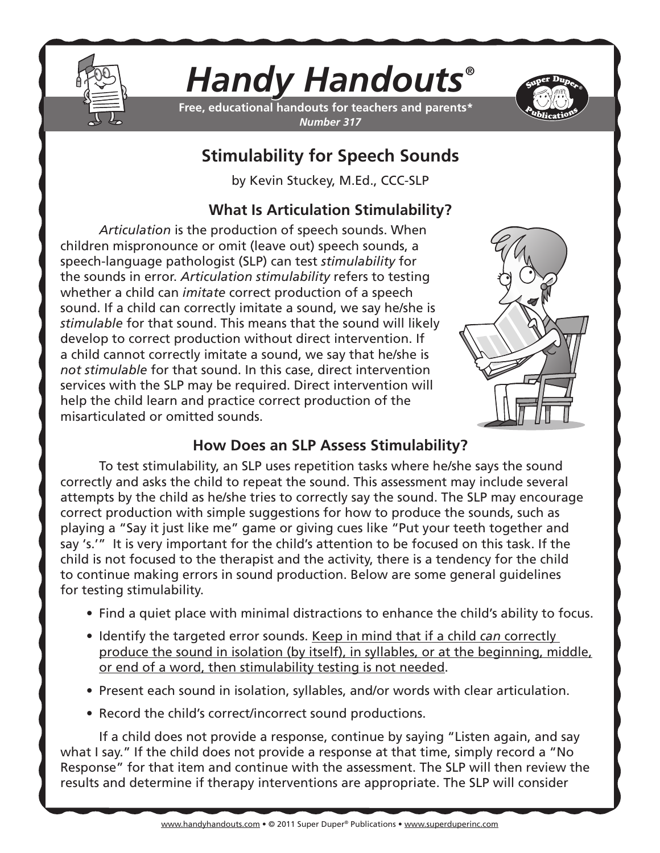

# *Handy Handouts®*

**Free, educational handouts for teachers and parents\*** *Number 317*



## **Stimulability for Speech Sounds**

by Kevin Stuckey, M.Ed., CCC-SLP

## **What Is Articulation Stimulability?**

*Articulation* is the production of speech sounds. When children mispronounce or omit (leave out) speech sounds, a speech-language pathologist (SLP) can test *stimulability* for the sounds in error. *Articulation stimulability* refers to testing whether a child can *imitate* correct production of a speech sound. If a child can correctly imitate a sound, we say he/she is *stimulable* for that sound. This means that the sound will likely develop to correct production without direct intervention. If a child cannot correctly imitate a sound, we say that he/she is *not stimulable* for that sound. In this case, direct intervention services with the SLP may be required. Direct intervention will help the child learn and practice correct production of the misarticulated or omitted sounds.



## **How Does an SLP Assess Stimulability?**

To test stimulability, an SLP uses repetition tasks where he/she says the sound correctly and asks the child to repeat the sound. This assessment may include several attempts by the child as he/she tries to correctly say the sound. The SLP may encourage correct production with simple suggestions for how to produce the sounds, such as playing a "Say it just like me" game or giving cues like "Put your teeth together and say 's.'" It is very important for the child's attention to be focused on this task. If the child is not focused to the therapist and the activity, there is a tendency for the child to continue making errors in sound production. Below are some general guidelines for testing stimulability.

- Find a quiet place with minimal distractions to enhance the child's ability to focus.
- Identify the targeted error sounds. Keep in mind that if a child *can* correctly produce the sound in isolation (by itself), in syllables, or at the beginning, middle, or end of a word, then stimulability testing is not needed.
- Present each sound in isolation, syllables, and/or words with clear articulation.
- Record the child's correct/incorrect sound productions.

If a child does not provide a response, continue by saying "Listen again, and say what I say." If the child does not provide a response at that time, simply record a "No Response" for that item and continue with the assessment. The SLP will then review the results and determine if therapy interventions are appropriate. The SLP will consider